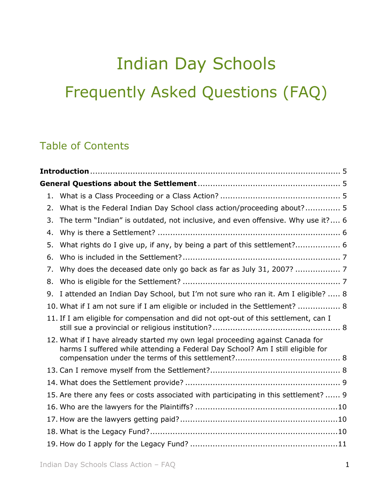# Indian Day Schools Frequently Asked Questions (FAQ)

# Table of Contents

| $1_{-}$ |                                                                                                                                                                 |  |
|---------|-----------------------------------------------------------------------------------------------------------------------------------------------------------------|--|
| 2.      | What is the Federal Indian Day School class action/proceeding about? 5                                                                                          |  |
| 3.      | The term "Indian" is outdated, not inclusive, and even offensive. Why use it? 6                                                                                 |  |
| 4.      |                                                                                                                                                                 |  |
| 5.      | What rights do I give up, if any, by being a part of this settlement? 6                                                                                         |  |
| 6.      |                                                                                                                                                                 |  |
| 7.      | Why does the deceased date only go back as far as July 31, 2007?  7                                                                                             |  |
| 8.      |                                                                                                                                                                 |  |
| 9.      | I attended an Indian Day School, but I'm not sure who ran it. Am I eligible?  8                                                                                 |  |
|         | 10. What if I am not sure if I am eligible or included in the Settlement?  8                                                                                    |  |
|         | 11. If I am eligible for compensation and did not opt-out of this settlement, can I                                                                             |  |
|         | 12. What if I have already started my own legal proceeding against Canada for<br>harms I suffered while attending a Federal Day School? Am I still eligible for |  |
|         |                                                                                                                                                                 |  |
|         |                                                                                                                                                                 |  |
|         | 15. Are there any fees or costs associated with participating in this settlement?  9                                                                            |  |
|         |                                                                                                                                                                 |  |
|         |                                                                                                                                                                 |  |
|         |                                                                                                                                                                 |  |
|         |                                                                                                                                                                 |  |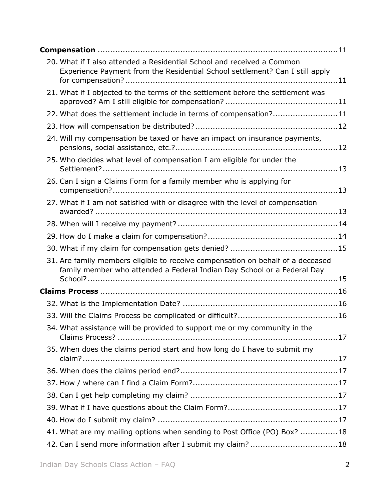| 20. What if I also attended a Residential School and received a Common<br>Experience Payment from the Residential School settlement? Can I still apply     |
|------------------------------------------------------------------------------------------------------------------------------------------------------------|
| 21. What if I objected to the terms of the settlement before the settlement was                                                                            |
| 22. What does the settlement include in terms of compensation?11                                                                                           |
|                                                                                                                                                            |
| 24. Will my compensation be taxed or have an impact on insurance payments,                                                                                 |
| 25. Who decides what level of compensation I am eligible for under the                                                                                     |
| 26. Can I sign a Claims Form for a family member who is applying for                                                                                       |
| 27. What if I am not satisfied with or disagree with the level of compensation                                                                             |
|                                                                                                                                                            |
|                                                                                                                                                            |
|                                                                                                                                                            |
| 31. Are family members eligible to receive compensation on behalf of a deceased<br>family member who attended a Federal Indian Day School or a Federal Day |
|                                                                                                                                                            |
|                                                                                                                                                            |
|                                                                                                                                                            |
| 34. What assistance will be provided to support me or my community in the                                                                                  |
|                                                                                                                                                            |
| 35. When does the claims period start and how long do I have to submit my                                                                                  |
|                                                                                                                                                            |
|                                                                                                                                                            |
|                                                                                                                                                            |
|                                                                                                                                                            |
|                                                                                                                                                            |
| 41. What are my mailing options when sending to Post Office (PO) Box? 18                                                                                   |
| 42. Can I send more information after I submit my claim? 18                                                                                                |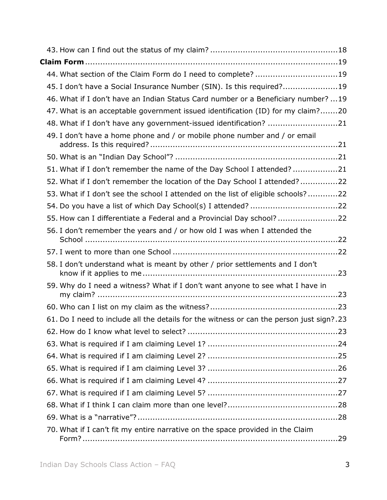| 44. What section of the Claim Form do I need to complete? 19                             |  |
|------------------------------------------------------------------------------------------|--|
| 45. I don't have a Social Insurance Number (SIN). Is this required?19                    |  |
| 46. What if I don't have an Indian Status Card number or a Beneficiary number? 19        |  |
| 47. What is an acceptable government issued identification (ID) for my claim?20          |  |
| 48. What if I don't have any government-issued identification? 21                        |  |
| 49. I don't have a home phone and / or mobile phone number and / or email                |  |
|                                                                                          |  |
| 51. What if I don't remember the name of the Day School I attended? 21                   |  |
| 52. What if I don't remember the location of the Day School I attended?22                |  |
| 53. What if I don't see the school I attended on the list of eligible schools?22         |  |
|                                                                                          |  |
| 55. How can I differentiate a Federal and a Provincial Day school? 22                    |  |
| 56. I don't remember the years and / or how old I was when I attended the                |  |
|                                                                                          |  |
| 58. I don't understand what is meant by other / prior settlements and I don't            |  |
| 59. Why do I need a witness? What if I don't want anyone to see what I have in           |  |
|                                                                                          |  |
| 61. Do I need to include all the details for the witness or can the person just sign?.23 |  |
|                                                                                          |  |
|                                                                                          |  |
|                                                                                          |  |
|                                                                                          |  |
|                                                                                          |  |
|                                                                                          |  |
|                                                                                          |  |
|                                                                                          |  |
| 70. What if I can't fit my entire narrative on the space provided in the Claim           |  |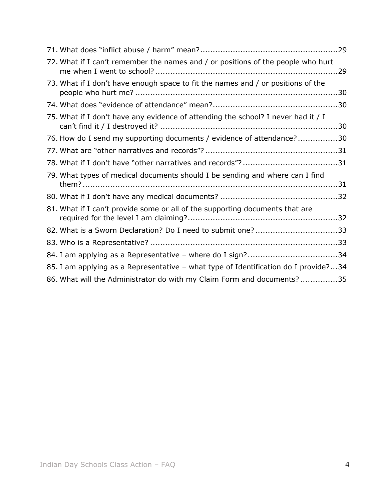| 72. What if I can't remember the names and / or positions of the people who hurt    |  |
|-------------------------------------------------------------------------------------|--|
| 73. What if I don't have enough space to fit the names and / or positions of the    |  |
|                                                                                     |  |
| 75. What if I don't have any evidence of attending the school? I never had it / I   |  |
| 76. How do I send my supporting documents / evidence of attendance?30               |  |
|                                                                                     |  |
|                                                                                     |  |
| 79. What types of medical documents should I be sending and where can I find        |  |
|                                                                                     |  |
| 81. What if I can't provide some or all of the supporting documents that are        |  |
| 82. What is a Sworn Declaration? Do I need to submit one?33                         |  |
|                                                                                     |  |
| 84. I am applying as a Representative - where do I sign?34                          |  |
| 85. I am applying as a Representative - what type of Identification do I provide?34 |  |
| 86. What will the Administrator do with my Claim Form and documents?35              |  |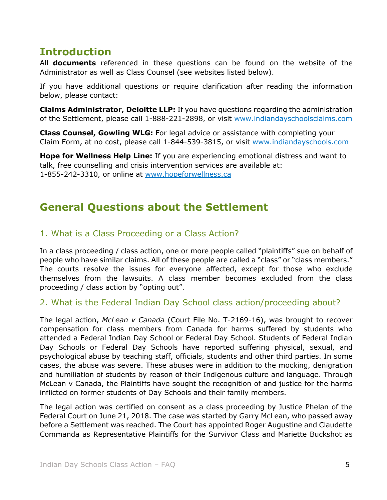# <span id="page-4-0"></span>**Introduction**

All **documents** referenced in these questions can be found on the website of the Administrator as well as Class Counsel (see websites listed below).

If you have additional questions or require clarification after reading the information below, please contact:

**Claims Administrator, Deloitte LLP:** If you have questions regarding the administration of the Settlement, please call 1-888-221-2898, or visit [www.indiandayschoolsclaims.com](http://www.indiandayschoolsclaims.com/)

**Class Counsel, Gowling WLG:** For legal advice or assistance with completing your Claim Form, at no cost, please call 1-844-539-3815, or visit [www.indiandayschools.com](http://www.indiandayschools.com/en/)

**Hope for Wellness Help Line:** If you are experiencing emotional distress and want to talk, free counselling and crisis intervention services are available at: 1-855-242-3310, or online at [www.hopeforwellness.ca](http://www.hopeforwellness.ca/)

# <span id="page-4-1"></span>**General Questions about the Settlement**

# <span id="page-4-2"></span>1. What is a Class Proceeding or a Class Action?

In a class proceeding / class action, one or more people called "plaintiffs" sue on behalf of people who have similar claims. All of these people are called a "class" or "class members." The courts resolve the issues for everyone affected, except for those who exclude themselves from the lawsuits. A class member becomes excluded from the class proceeding / class action by "opting out".

#### <span id="page-4-3"></span>2. What is the Federal Indian Day School class action/proceeding about?

The legal action, *McLean v Canada* (Court File No. T-2169-16), was brought to recover compensation for class members from Canada for harms suffered by students who attended a Federal Indian Day School or Federal Day School. Students of Federal Indian Day Schools or Federal Day Schools have reported suffering physical, sexual, and psychological abuse by teaching staff, officials, students and other third parties. In some cases, the abuse was severe. These abuses were in addition to the mocking, denigration and humiliation of students by reason of their Indigenous culture and language. Through McLean v Canada, the Plaintiffs have sought the recognition of and justice for the harms inflicted on former students of Day Schools and their family members.

The legal action was certified on consent as a class proceeding by Justice Phelan of the Federal Court on June 21, 2018. The case was started by Garry McLean, who passed away before a Settlement was reached. The Court has appointed Roger Augustine and Claudette Commanda as Representative Plaintiffs for the Survivor Class and Mariette Buckshot as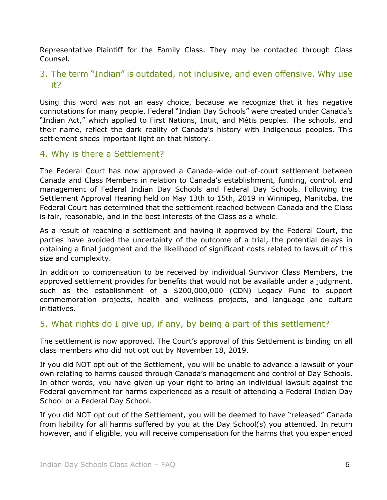Representative Plaintiff for the Family Class. They may be contacted through Class Counsel.

#### <span id="page-5-0"></span>3. The term "Indian" is outdated, not inclusive, and even offensive. Why use it?

Using this word was not an easy choice, because we recognize that it has negative connotations for many people. Federal "Indian Day Schools" were created under Canada's "Indian Act," which applied to First Nations, Inuit, and Métis peoples. The schools, and their name, reflect the dark reality of Canada's history with Indigenous peoples. This settlement sheds important light on that history.

#### <span id="page-5-1"></span>4. Why is there a Settlement?

The Federal Court has now approved a Canada-wide out-of-court settlement between Canada and Class Members in relation to Canada's establishment, funding, control, and management of Federal Indian Day Schools and Federal Day Schools. Following the Settlement Approval Hearing held on May 13th to 15th, 2019 in Winnipeg, Manitoba, the Federal Court has determined that the settlement reached between Canada and the Class is fair, reasonable, and in the best interests of the Class as a whole.

As a result of reaching a settlement and having it approved by the Federal Court, the parties have avoided the uncertainty of the outcome of a trial, the potential delays in obtaining a final judgment and the likelihood of significant costs related to lawsuit of this size and complexity.

In addition to compensation to be received by individual Survivor Class Members, the approved settlement provides for benefits that would not be available under a judgment, such as the establishment of a \$200,000,000 (CDN) Legacy Fund to support commemoration projects, health and wellness projects, and language and culture initiatives.

#### <span id="page-5-2"></span>5. What rights do I give up, if any, by being a part of this settlement?

The settlement is now approved. The Court's approval of this Settlement is binding on all class members who did not opt out by November 18, 2019.

If you did NOT opt out of the Settlement, you will be unable to advance a lawsuit of your own relating to harms caused through Canada's management and control of Day Schools. In other words, you have given up your right to bring an individual lawsuit against the Federal government for harms experienced as a result of attending a Federal Indian Day School or a Federal Day School.

If you did NOT opt out of the Settlement, you will be deemed to have "released" Canada from liability for all harms suffered by you at the Day School(s) you attended. In return however, and if eligible, you will receive compensation for the harms that you experienced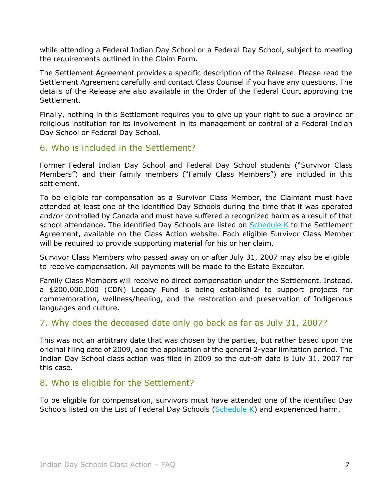while attending a Federal Indian Day School or a Federal Day School, subject to meeting the requirements outlined in the Claim Form.

The Settlement Agreement provides a specific description of the Release. Please read the Settlement Agreement carefully and contact Class Counsel if you have any questions. The details of the Release are also available in the Order of the Federal Court approving the Settlement.

Finally, nothing in this Settlement requires you to give up your right to sue a province or religious institution for its involvement in its management or control of a Federal Indian Day School or Federal Day School.

#### <span id="page-6-0"></span>6. Who is included in the Settlement?

Former Federal Indian Day School and Federal Day School students ("Survivor Class Members") and their family members ("Family Class Members") are included in this settlement.

To be eligible for compensation as a Survivor Class Member, the Claimant must have attended at least one of the identified Day Schools during the time that it was operated and/or controlled by Canada and must have suffered a recognized harm as a result of that school attendance. The identified Day Schools are listed on [Schedule K](https://www.classaction.deloitte.ca/en-ca/Documents/indiandayschoolsclaims/Schedule%20K%20-%20List%20of%20Federal%20Indian%20Day%20Schools.pdf) to the Settlement Agreement, available on the Class Action website. Each eligible Survivor Class Member will be required to provide supporting material for his or her claim.

Survivor Class Members who passed away on or after July 31, 2007 may also be eligible to receive compensation. All payments will be made to the Estate Executor.

Family Class Members will receive no direct compensation under the Settlement. Instead, a \$200,000,000 (CDN) Legacy Fund is being established to support projects for commemoration, wellness/healing, and the restoration and preservation of Indigenous languages and culture.

#### <span id="page-6-1"></span>7. Why does the deceased date only go back as far as July 31, 2007?

This was not an arbitrary date that was chosen by the parties, but rather based upon the original filing date of 2009, and the application of the general 2-year limitation period. The Indian Day School class action was filed in 2009 so the cut-off date is July 31, 2007 for this case.

#### <span id="page-6-2"></span>8. Who is eligible for the Settlement?

To be eligible for compensation, survivors must have attended one of the identified Day Schools listed on the List of Federal Day Schools ( $Schedule K$ ) and experienced harm.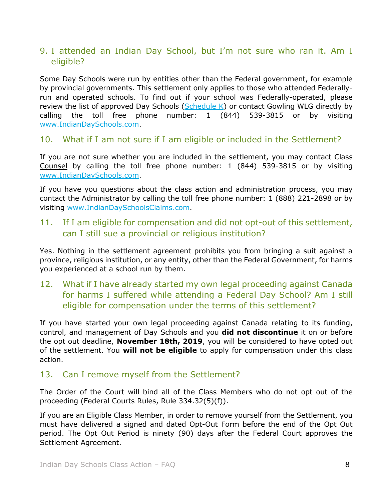# <span id="page-7-0"></span>9. I attended an Indian Day School, but I'm not sure who ran it. Am I eligible?

Some Day Schools were run by entities other than the Federal government, for example by provincial governments. This settlement only applies to those who attended Federallyrun and operated schools. To find out if your school was Federally-operated, please review [the list of approved Day Schools \(Schedule K\)](https://indiandayschools.com/en/wp-content/uploads/schedule-k.pdf) or contact Gowling WLG directly by calling the toll free phone number: 1 (844) 539-3815 or by visiting [www.IndianDaySchools.com.](http://www.indiandayschools.com/)

#### <span id="page-7-1"></span>10. What if I am not sure if I am eligible or included in the Settlement?

If you are not sure whether you are included in the settlement, you may contact Class Counsel by calling the toll free phone number: 1 (844) 539-3815 or by visiting [www.IndianDaySchools.com.](http://www.indiandayschools.com/)

If you have you questions about the class action and administration process, you may contact the Administrator by calling the toll free phone number: 1 (888) 221-2898 or by visiting [www.IndianDaySchoolsClaims.com.](http://www.indiandayschoolsclaims.com/)

#### <span id="page-7-2"></span>11. If I am eligible for compensation and did not opt-out of this settlement, can I still sue a provincial or religious institution?

Yes. Nothing in the settlement agreement prohibits you from bringing a suit against a province, religious institution, or any entity, other than the Federal Government, for harms you experienced at a school run by them.

# <span id="page-7-3"></span>12. What if I have already started my own legal proceeding against Canada for harms I suffered while attending a Federal Day School? Am I still eligible for compensation under the terms of this settlement?

If you have started your own legal proceeding against Canada relating to its funding, control, and management of Day Schools and you **did not discontinue** it on or before the opt out deadline, **November 18th, 2019**, you will be considered to have opted out of the settlement. You **will not be eligible** to apply for compensation under this class action.

#### <span id="page-7-4"></span>13. Can I remove myself from the Settlement?

The Order of the Court will bind all of the Class Members who do not opt out of the proceeding (Federal Courts Rules, Rule 334.32(5)(f)).

If you are an Eligible Class Member, in order to remove yourself from the Settlement, you must have delivered a signed and dated Opt-Out Form before the end of the Opt Out period. The Opt Out Period is ninety (90) days after the Federal Court approves the Settlement Agreement.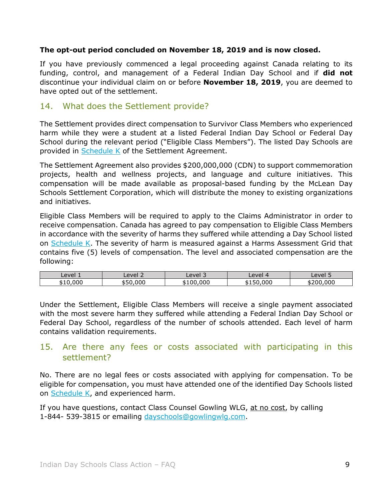#### **The opt-out period concluded on November 18, 2019 and is now closed.**

If you have previously commenced a legal proceeding against Canada relating to its funding, control, and management of a Federal Indian Day School and if **did not** discontinue your individual claim on or before **November 18, 2019**, you are deemed to have opted out of the settlement.

#### <span id="page-8-0"></span>14. What does the Settlement provide?

The Settlement provides direct compensation to Survivor Class Members who experienced harm while they were a student at a listed Federal Indian Day School or Federal Day School during the relevant period ("Eligible Class Members"). The listed Day Schools are provided in [Schedule K](https://www.classaction.deloitte.ca/en-ca/Documents/indiandayschoolsclaims/Schedule%20K%20-%20List%20of%20Federal%20Indian%20Day%20Schools.pdf) of the Settlement Agreement.

The Settlement Agreement also provides \$200,000,000 (CDN) to support commemoration projects, health and wellness projects, and language and culture initiatives. This compensation will be made available as proposal-based funding by the McLean Day Schools Settlement Corporation, which will distribute the money to existing organizations and initiatives.

Eligible Class Members will be required to apply to the Claims Administrator in order to receive compensation. Canada has agreed to pay compensation to Eligible Class Members in accordance with the severity of harms they suffered while attending a Day School listed on [Schedule K.](https://www.classaction.deloitte.ca/en-ca/Documents/indiandayschoolsclaims/Schedule%20K%20-%20List%20of%20Federal%20Indian%20Day%20Schools.pdf) The severity of harm is measured against a Harms Assessment Grid that contains five (5) levels of compensation. The level and associated compensation are the following:

| Level | $\overline{\phantom{a}}$<br>evel | $\overline{\phantom{a}}$<br>Level 3 | Level     | Level 5           |
|-------|----------------------------------|-------------------------------------|-----------|-------------------|
| .000  | 00C                              | 000.<br>. $\cap$                    | 000<br>∽. | .000<br>חי<br>. מ |

Under the Settlement, Eligible Class Members will receive a single payment associated with the most severe harm they suffered while attending a Federal Indian Day School or Federal Day School, regardless of the number of schools attended. Each level of harm contains validation requirements.

## <span id="page-8-1"></span>15. Are there any fees or costs associated with participating in this settlement?

No. There are no legal fees or costs associated with applying for compensation. To be eligible for compensation, you must have attended one of the identified Day Schools listed on [Schedule K,](https://www.classaction.deloitte.ca/en-ca/Documents/indiandayschoolsclaims/Schedule%20K%20-%20List%20of%20Federal%20Indian%20Day%20Schools.pdf) and experienced harm.

If you have questions, contact Class Counsel Gowling WLG, at no cost, by calling 1-844- 539-3815 or emailing [dayschools@gowlingwlg.com.](mailto:dayschools@gowlingwlg.com)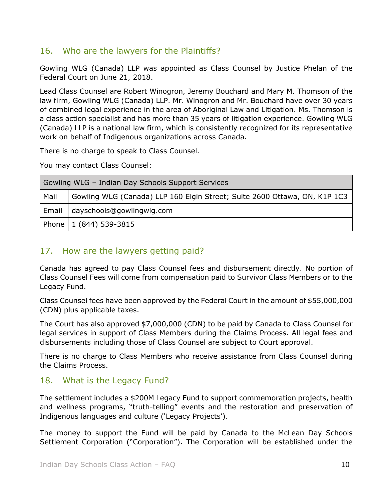#### <span id="page-9-0"></span>16. Who are the lawyers for the Plaintiffs?

Gowling WLG (Canada) LLP was appointed as Class Counsel by Justice Phelan of the Federal Court on June 21, 2018.

Lead Class Counsel are Robert Winogron, Jeremy Bouchard and Mary M. Thomson of the law firm, Gowling WLG (Canada) LLP. Mr. Winogron and Mr. Bouchard have over 30 years of combined legal experience in the area of Aboriginal Law and Litigation. Ms. Thomson is a class action specialist and has more than 35 years of litigation experience. Gowling WLG (Canada) LLP is a national law firm, which is consistently recognized for its representative work on behalf of Indigenous organizations across Canada.

There is no charge to speak to Class Counsel.

You may contact Class Counsel:

| Gowling WLG - Indian Day Schools Support Services |                                                                           |  |
|---------------------------------------------------|---------------------------------------------------------------------------|--|
| Mail                                              | Gowling WLG (Canada) LLP 160 Elgin Street; Suite 2600 Ottawa, ON, K1P 1C3 |  |
|                                                   | Email   dayschools@gowlingwlg.com                                         |  |
|                                                   | Phone   1 (844) 539-3815                                                  |  |

# <span id="page-9-1"></span>17. How are the lawyers getting paid?

Canada has agreed to pay Class Counsel fees and disbursement directly. No portion of Class Counsel Fees will come from compensation paid to Survivor Class Members or to the Legacy Fund.

Class Counsel fees have been approved by the Federal Court in the amount of \$55,000,000 (CDN) plus applicable taxes.

The Court has also approved \$7,000,000 (CDN) to be paid by Canada to Class Counsel for legal services in support of Class Members during the Claims Process. All legal fees and disbursements including those of Class Counsel are subject to Court approval.

There is no charge to Class Members who receive assistance from Class Counsel during the Claims Process.

#### <span id="page-9-2"></span>18. What is the Legacy Fund?

The settlement includes a \$200M Legacy Fund to support commemoration projects, health and wellness programs, "truth-telling" events and the restoration and preservation of Indigenous languages and culture ('Legacy Projects').

The money to support the Fund will be paid by Canada to the McLean Day Schools Settlement Corporation ("Corporation"). The Corporation will be established under the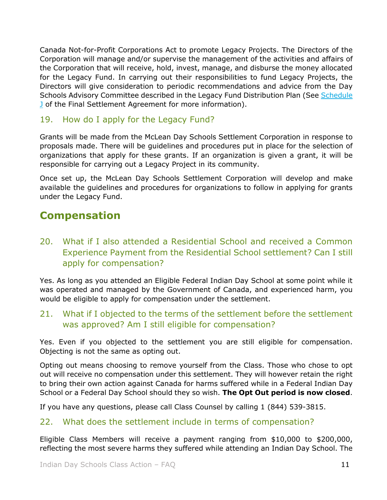Canada Not-for-Profit Corporations Act to promote Legacy Projects. The Directors of the Corporation will manage and/or supervise the management of the activities and affairs of the Corporation that will receive, hold, invest, manage, and disburse the money allocated for the Legacy Fund. In carrying out their responsibilities to fund Legacy Projects, the Directors will give consideration to periodic recommendations and advice from the Day Schools Advisory Committee described in the Legacy Fund Distribution Plan (See [Schedule](https://www.classaction.deloitte.ca/en-ca/Documents/indiandayschoolsclaims/Consolidated%20Settlement%20Agreement.pdf)  [J](https://www.classaction.deloitte.ca/en-ca/Documents/indiandayschoolsclaims/Consolidated%20Settlement%20Agreement.pdf) of the Final Settlement Agreement for more information).

#### <span id="page-10-0"></span>19. How do I apply for the Legacy Fund?

Grants will be made from the McLean Day Schools Settlement Corporation in response to proposals made. There will be guidelines and procedures put in place for the selection of organizations that apply for these grants. If an organization is given a grant, it will be responsible for carrying out a Legacy Project in its community.

Once set up, the McLean Day Schools Settlement Corporation will develop and make available the guidelines and procedures for organizations to follow in applying for grants under the Legacy Fund.

# <span id="page-10-1"></span>**Compensation**

<span id="page-10-2"></span>20. What if I also attended a Residential School and received a Common Experience Payment from the Residential School settlement? Can I still apply for compensation?

Yes. As long as you attended an Eligible Federal Indian Day School at some point while it was operated and managed by the Government of Canada, and experienced harm, you would be eligible to apply for compensation under the settlement.

<span id="page-10-3"></span>21. What if I objected to the terms of the settlement before the settlement was approved? Am I still eligible for compensation?

Yes. Even if you objected to the settlement you are still eligible for compensation. Objecting is not the same as opting out.

Opting out means choosing to remove yourself from the Class. Those who chose to opt out will receive no compensation under this settlement. They will however retain the right to bring their own action against Canada for harms suffered while in a Federal Indian Day School or a Federal Day School should they so wish. **The Opt Out period is now closed**.

If you have any questions, please call Class Counsel by calling 1 (844) 539-3815.

# <span id="page-10-4"></span>22. What does the settlement include in terms of compensation?

Eligible Class Members will receive a payment ranging from \$10,000 to \$200,000, reflecting the most severe harms they suffered while attending an Indian Day School. The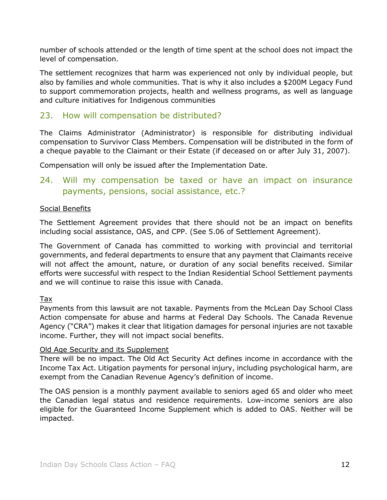number of schools attended or the length of time spent at the school does not impact the level of compensation.

The settlement recognizes that harm was experienced not only by individual people, but also by families and whole communities. That is why it also includes a \$200M Legacy Fund to support commemoration projects, health and wellness programs, as well as language and culture initiatives for Indigenous communities

#### <span id="page-11-0"></span>23. How will compensation be distributed?

The Claims Administrator (Administrator) is responsible for distributing individual compensation to Survivor Class Members. Compensation will be distributed in the form of a cheque payable to the Claimant or their Estate (if deceased on or after July 31, 2007).

Compensation will only be issued after the Implementation Date.

## <span id="page-11-1"></span>24. Will my compensation be taxed or have an impact on insurance payments, pensions, social assistance, etc.?

#### Social Benefits

The Settlement Agreement provides that there should not be an impact on benefits including social assistance, OAS, and CPP. (See 5.06 of Settlement Agreement).

The Government of Canada has committed to working with provincial and territorial governments, and federal departments to ensure that any payment that Claimants receive will not affect the amount, nature, or duration of any social benefits received. Similar efforts were successful with respect to the Indian Residential School Settlement payments and we will continue to raise this issue with Canada.

Tax

Payments from this lawsuit are not taxable. Payments from the McLean Day School Class Action compensate for abuse and harms at Federal Day Schools. The Canada Revenue Agency ("CRA") makes it clear that litigation damages for personal injuries are not taxable income. Further, they will not impact social benefits.

#### Old Age Security and its Supplement

There will be no impact. The Old Act Security Act defines income in accordance with the Income Tax Act. Litigation payments for personal injury, including psychological harm, are exempt from the Canadian Revenue Agency's definition of income.

The OAS pension is a monthly payment available to seniors aged 65 and older who meet the Canadian legal status and residence requirements. Low-income seniors are also eligible for the Guaranteed Income Supplement which is added to OAS. Neither will be impacted.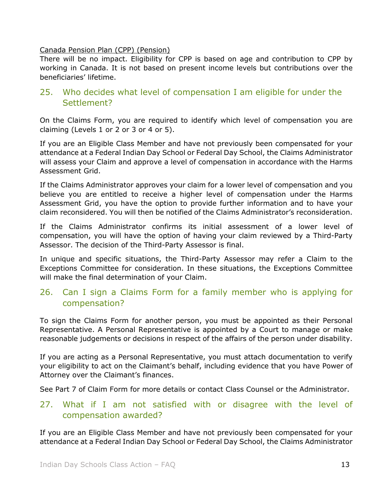#### Canada Pension Plan (CPP) (Pension)

There will be no impact. Eligibility for CPP is based on age and contribution to CPP by working in Canada. It is not based on present income levels but contributions over the beneficiaries' lifetime.

## <span id="page-12-0"></span>25. Who decides what level of compensation I am eligible for under the Settlement?

On the Claims Form, you are required to identify which level of compensation you are claiming (Levels 1 or 2 or 3 or 4 or 5).

If you are an Eligible Class Member and have not previously been compensated for your attendance at a Federal Indian Day School or Federal Day School, the Claims Administrator will assess your Claim and approve a level of compensation in accordance with the Harms Assessment Grid.

If the Claims Administrator approves your claim for a lower level of compensation and you believe you are entitled to receive a higher level of compensation under the Harms Assessment Grid, you have the option to provide further information and to have your claim reconsidered. You will then be notified of the Claims Administrator's reconsideration.

If the Claims Administrator confirms its initial assessment of a lower level of compensation, you will have the option of having your claim reviewed by a Third-Party Assessor. The decision of the Third-Party Assessor is final.

In unique and specific situations, the Third-Party Assessor may refer a Claim to the Exceptions Committee for consideration. In these situations, the Exceptions Committee will make the final determination of your Claim.

## <span id="page-12-1"></span>26. Can I sign a Claims Form for a family member who is applying for compensation?

To sign the Claims Form for another person, you must be appointed as their Personal Representative. A Personal Representative is appointed by a Court to manage or make reasonable judgements or decisions in respect of the affairs of the person under disability.

If you are acting as a Personal Representative, you must attach documentation to verify your eligibility to act on the Claimant's behalf, including evidence that you have Power of Attorney over the Claimant's finances.

See Part 7 of Claim Form for more details or contact Class Counsel or the Administrator.

## <span id="page-12-2"></span>27. What if I am not satisfied with or disagree with the level of compensation awarded?

If you are an Eligible Class Member and have not previously been compensated for your attendance at a Federal Indian Day School or Federal Day School, the Claims Administrator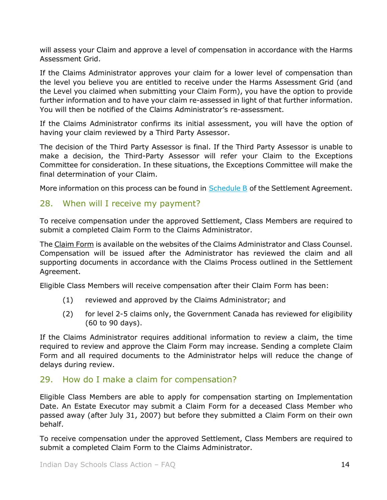will assess your Claim and approve a level of compensation in accordance with the Harms Assessment Grid.

If the Claims Administrator approves your claim for a lower level of compensation than the level you believe you are entitled to receive under the Harms Assessment Grid (and the Level you claimed when submitting your Claim Form), you have the option to provide further information and to have your claim re-assessed in light of that further information. You will then be notified of the Claims Administrator's re-assessment.

If the Claims Administrator confirms its initial assessment, you will have the option of having your claim reviewed by a Third Party Assessor.

The decision of the Third Party Assessor is final. If the Third Party Assessor is unable to make a decision, the Third-Party Assessor will refer your Claim to the Exceptions Committee for consideration. In these situations, the Exceptions Committee will make the final determination of your Claim.

More information on this process can be found in [Schedule B](https://www.classaction.deloitte.ca/en-ca/Documents/indiandayschoolsclaims/Consolidated%20Settlement%20Agreement.pdf) of the Settlement Agreement.

#### <span id="page-13-0"></span>28. When will I receive my payment?

To receive compensation under the approved Settlement, Class Members are required to submit a completed Claim Form to the Claims Administrator.

The Claim Form is available on the websites of the Claims Administrator and Class Counsel. Compensation will be issued after the Administrator has reviewed the claim and all supporting documents in accordance with the Claims Process outlined in the Settlement Agreement.

Eligible Class Members will receive compensation after their Claim Form has been:

- (1) reviewed and approved by the Claims Administrator; and
- (2) for level 2-5 claims only, the Government Canada has reviewed for eligibility (60 to 90 days).

If the Claims Administrator requires additional information to review a claim, the time required to review and approve the Claim Form may increase. Sending a complete Claim Form and all required documents to the Administrator helps will reduce the change of delays during review.

#### <span id="page-13-1"></span>29. How do I make a claim for compensation?

Eligible Class Members are able to apply for compensation starting on Implementation Date. An Estate Executor may submit a Claim Form for a deceased Class Member who passed away (after July 31, 2007) but before they submitted a Claim Form on their own behalf.

To receive compensation under the approved Settlement, Class Members are required to submit a completed Claim Form to the Claims Administrator.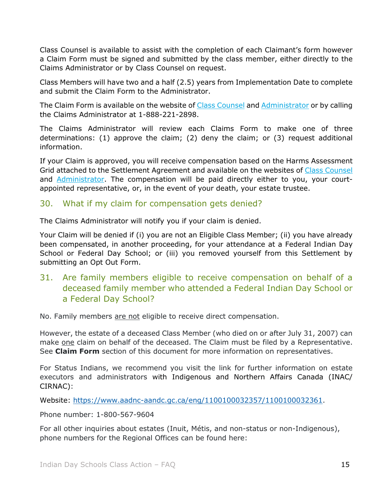Class Counsel is available to assist with the completion of each Claimant's form however a Claim Form must be signed and submitted by the class member, either directly to the Claims Administrator or by Class Counsel on request.

Class Members will have two and a half (2.5) years from Implementation Date to complete and submit the Claim Form to the Administrator.

The Claim Form is available on the website of [Class Counsel](http://www.indiandayschools.com/) and [Administrator](http://www.indiandayschoolsclaims.com/) or by calling the Claims Administrator at 1-888-221-2898.

The Claims Administrator will review each Claims Form to make one of three determinations: (1) approve the claim; (2) deny the claim; or (3) request additional information.

If your Claim is approved, you will receive compensation based on the Harms Assessment Grid attached to the Settlement Agreement and available on the websites of [Class Counsel](http://www.indiandayschools.com/) and [Administrator.](http://www.indiandayschoolsclaims.com/) The compensation will be paid directly either to you, your courtappointed representative, or, in the event of your death, your estate trustee.

#### <span id="page-14-0"></span>30. What if my claim for compensation gets denied?

The Claims Administrator will notify you if your claim is denied.

Your Claim will be denied if (i) you are not an Eligible Class Member; (ii) you have already been compensated, in another proceeding, for your attendance at a Federal Indian Day School or Federal Day School; or (iii) you removed yourself from this Settlement by submitting an Opt Out Form.

<span id="page-14-1"></span>31. Are family members eligible to receive compensation on behalf of a deceased family member who attended a Federal Indian Day School or a Federal Day School?

No. Family members are not eligible to receive direct compensation.

However, the estate of a deceased Class Member (who died on or after July 31, 2007) can make one claim on behalf of the deceased. The Claim must be filed by a Representative. See **Claim Form** section of this document for more information on representatives.

For Status Indians, we recommend you visit the link for further information on estate executors and administrators with Indigenous and Northern Affairs Canada (INAC/ CIRNAC):

Website: [https://www.aadnc-aandc.gc.ca/eng/1100100032357/1100100032361.](https://www.aadnc-aandc.gc.ca/eng/1100100032357/1100100032361)

Phone number: 1-800-567-9604

For all other inquiries about estates (Inuit, Métis, and non-status or non-Indigenous), phone numbers for the Regional Offices can be found here: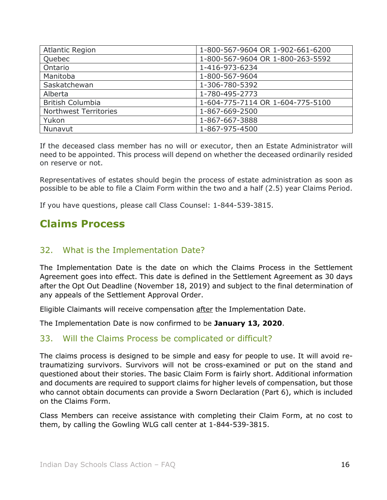| <b>Atlantic Region</b>  | 1-800-567-9604 OR 1-902-661-6200 |
|-------------------------|----------------------------------|
| Quebec                  | 1-800-567-9604 OR 1-800-263-5592 |
| Ontario                 | 1-416-973-6234                   |
| Manitoba                | 1-800-567-9604                   |
| Saskatchewan            | 1-306-780-5392                   |
| Alberta                 | 1-780-495-2773                   |
| <b>British Columbia</b> | 1-604-775-7114 OR 1-604-775-5100 |
| Northwest Territories   | 1-867-669-2500                   |
| Yukon                   | 1-867-667-3888                   |
| Nunavut                 | 1-867-975-4500                   |

If the deceased class member has no will or executor, then an Estate Administrator will need to be appointed. This process will depend on whether the deceased ordinarily resided on reserve or not.

Representatives of estates should begin the process of estate administration as soon as possible to be able to file a Claim Form within the two and a half (2.5) year Claims Period.

If you have questions, please call Class Counsel: 1-844-539-3815.

# <span id="page-15-0"></span>**Claims Process**

#### <span id="page-15-1"></span>32. What is the Implementation Date?

The Implementation Date is the date on which the Claims Process in the Settlement Agreement goes into effect. This date is defined in the Settlement Agreement as 30 days after the Opt Out Deadline (November 18, 2019) and subject to the final determination of any appeals of the Settlement Approval Order.

Eligible Claimants will receive compensation after the Implementation Date.

The Implementation Date is now confirmed to be **January 13, 2020**.

#### <span id="page-15-2"></span>33. Will the Claims Process be complicated or difficult?

The claims process is designed to be simple and easy for people to use. It will avoid retraumatizing survivors. Survivors will not be cross-examined or put on the stand and questioned about their stories. The basic Claim Form is fairly short. Additional information and documents are required to support claims for higher levels of compensation, but those who cannot obtain documents can provide a Sworn Declaration (Part 6), which is included on the Claims Form.

Class Members can receive assistance with completing their Claim Form, at no cost to them, by calling the Gowling WLG call center at 1-844-539-3815.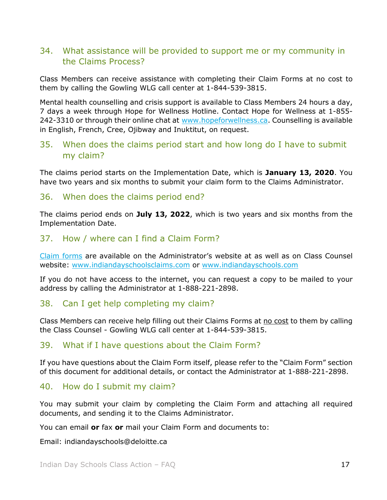## <span id="page-16-0"></span>34. What assistance will be provided to support me or my community in the Claims Process?

Class Members can receive assistance with completing their Claim Forms at no cost to them by calling the Gowling WLG call center at 1-844-539-3815.

Mental health counselling and crisis support is available to Class Members 24 hours a day, 7 days a week through Hope for Wellness Hotline. Contact Hope for Wellness at 1-855- 242-3310 or through their online chat at [www.hopeforwellness.ca.](https://www.hopeforwellness.ca/) Counselling is available in English, French, Cree, Ojibway and Inuktitut, on request.

#### <span id="page-16-1"></span>35. When does the claims period start and how long do I have to submit my claim?

The claims period starts on the Implementation Date, which is **January 13, 2020**. You have two years and six months to submit your claim form to the Claims Administrator.

#### <span id="page-16-2"></span>36. When does the claims period end?

The claims period ends on **July 13, 2022**, which is two years and six months from the Implementation Date.

#### <span id="page-16-3"></span>37. How / where can I find a Claim Form?

[Claim forms](http://www.indiandayschoolsclaims.com/) are available on the Administrator's website at as well as on Class Counsel website: [www.indiandayschoolsclaims.com](http://www.indiandayschoolsclaims.com/) or [www.indiandayschools.com](http://www.indiandayschools.com/)

If you do not have access to the internet, you can request a copy to be mailed to your address by calling the Administrator at 1-888-221-2898.

#### <span id="page-16-4"></span>38. Can I get help completing my claim?

Class Members can receive help filling out their Claims Forms at no cost to them by calling the Class Counsel - Gowling WLG call center at 1-844-539-3815.

#### <span id="page-16-5"></span>39. What if I have questions about the Claim Form?

If you have questions about the Claim Form itself, please refer to the "Claim Form" section of this document for additional details, or contact the Administrator at 1-888-221-2898.

#### <span id="page-16-6"></span>40. How do I submit my claim?

You may submit your claim by completing the Claim Form and attaching all required documents, and sending it to the Claims Administrator.

You can email **or** fax **or** mail your Claim Form and documents to:

Email: [indiandayschools@deloitte.ca](mailto:indiandayschools@deloitte.ca)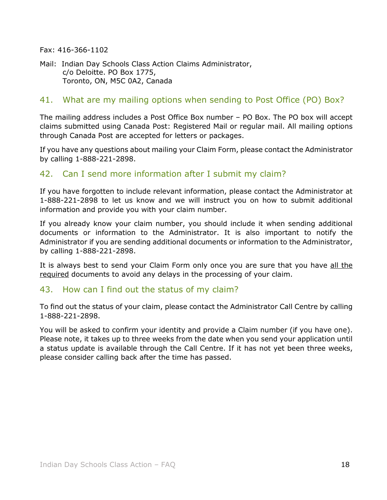Fax: 416-366-1102

Mail: Indian Day Schools Class Action Claims Administrator, c/o Deloitte. PO Box 1775, Toronto, ON, M5C 0A2, Canada

#### <span id="page-17-0"></span>41. What are my mailing options when sending to Post Office (PO) Box?

The mailing address includes a Post Office Box number – PO Box. The PO box will accept claims submitted using Canada Post: Registered Mail or regular mail. All mailing options through Canada Post are accepted for letters or packages.

If you have any questions about mailing your Claim Form, please contact the Administrator by calling 1-888-221-2898.

## <span id="page-17-1"></span>42. Can I send more information after I submit my claim?

If you have forgotten to include relevant information, please contact the Administrator at 1-888-221-2898 to let us know and we will instruct you on how to submit additional information and provide you with your claim number.

If you already know your claim number, you should include it when sending additional documents or information to the Administrator. It is also important to notify the Administrator if you are sending additional documents or information to the Administrator, by calling 1-888-221-2898.

It is always best to send your Claim Form only once you are sure that you have all the required documents to avoid any delays in the processing of your claim.

#### <span id="page-17-2"></span>43. How can I find out the status of my claim?

To find out the status of your claim, please contact the Administrator Call Centre by calling 1-888-221-2898.

You will be asked to confirm your identity and provide a Claim number (if you have one). Please note, it takes up to three weeks from the date when you send your application until a status update is available through the Call Centre. If it has not yet been three weeks, please consider calling back after the time has passed.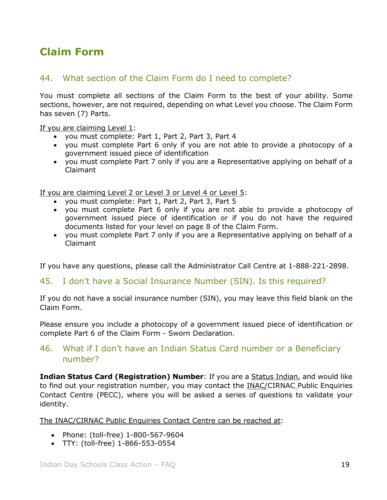# <span id="page-18-0"></span>**Claim Form**

# <span id="page-18-1"></span>44. What section of the Claim Form do I need to complete?

You must complete all sections of the Claim Form to the best of your ability. Some sections, however, are not required, depending on what Level you choose. The Claim Form has seven (7) Parts.

If you are claiming Level 1:

- you must complete: Part 1, Part 2, Part 3, Part 4
- you must complete Part 6 only if you are not able to provide a photocopy of a government issued piece of identification
- you must complete Part 7 only if you are a Representative applying on behalf of a Claimant

If you are claiming Level 2 or Level 3 or Level 4 or Level 5:

- you must complete: Part 1, Part 2, Part 3, Part 5
- you must complete Part 6 only if you are not able to provide a photocopy of government issued piece of identification or if you do not have the required documents listed for your level on page 8 of the Claim Form.
- you must complete Part 7 only if you are a Representative applying on behalf of a Claimant

If you have any questions, please call the Administrator Call Centre at 1-888-221-2898.

#### <span id="page-18-2"></span>45. I don't have a Social Insurance Number (SIN). Is this required?

If you do not have a social insurance number (SIN), you may leave this field blank on the Claim Form.

Please ensure you include a photocopy of a government issued piece of identification or complete Part 6 of the Claim Form - Sworn Declaration.

## <span id="page-18-3"></span>46. What if I don't have an Indian Status Card number or a Beneficiary number?

**Indian Status Card (Registration) Number**: If you are a **Status Indian**, and would like to find out your registration number, you may contact the INAC/CIRNAC Public Enquiries Contact Centre (PECC), where you will be asked a series of questions to validate your identity.

The INAC/CIRNAC Public Enquiries Contact Centre can be reached at:

- Phone: (toll-free) 1-800-567-9604
- TTY: (toll-free) 1-866-553-0554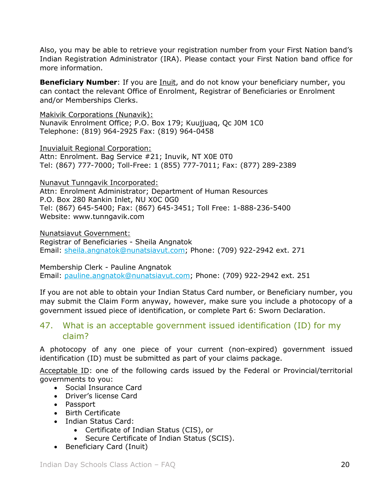Also, you may be able to retrieve your registration number from your First Nation band's Indian Registration Administrator (IRA). Please contact your First Nation band office for more information.

**Beneficiary Number**: If you are *Inuit*, and do not know your beneficiary number, you can contact the relevant Office of Enrolment, Registrar of Beneficiaries or Enrolment and/or Memberships Clerks.

Makivik Corporations (Nunavik): Nunavik Enrolment Office; P.O. Box 179; Kuujjuaq, Qc J0M 1C0 Telephone: (819) 964-2925 Fax: (819) 964-0458

Inuvialuit Regional Corporation: Attn: Enrolment. Bag Service #21; Inuvik, NT X0E 0T0 Tel: (867) 777-7000; Toll-Free: 1 (855) 777-7011; Fax: (877) 289-2389

Nunavut Tunngavik Incorporated:

Attn: Enrolment Administrator; Department of Human Resources P.O. Box 280 Rankin Inlet, NU X0C 0G0 Tel: (867) 645-5400; Fax: (867) 645-3451; Toll Free: 1-888-236-5400 Website: www.tunngavik.com

Nunatsiavut Government: Registrar of Beneficiaries - Sheila Angnatok Email: [sheila.angnatok@nunatsiavut.com;](mailto:sheila.angnatok@nunatsiavut.com) Phone: (709) 922-2942 ext. 271

Membership Clerk - Pauline Angnatok Email: [pauline.angnatok@nunatsiavut.com;](mailto:pauline.angnatok@nunatsiavut.com) Phone: (709) 922-2942 ext. 251

If you are not able to obtain your Indian Status Card number, or Beneficiary number, you may submit the Claim Form anyway, however, make sure you include a photocopy of a government issued piece of identification, or complete Part 6: Sworn Declaration.

## <span id="page-19-0"></span>47. What is an acceptable government issued identification (ID) for my claim?

A photocopy of any one piece of your current (non-expired) government issued identification (ID) must be submitted as part of your claims package.

Acceptable ID: one of the following cards issued by the Federal or Provincial/territorial governments to you:

- Social Insurance Card
- Driver's license Card
- Passport
- Birth Certificate
- Indian Status Card:
	- Certificate of Indian Status (CIS), or
	- Secure Certificate of Indian Status (SCIS).
- Beneficiary Card (Inuit)

Indian Day Schools Class Action – FAQ 20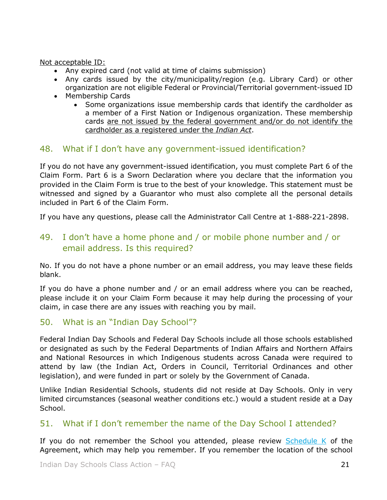Not acceptable ID:

- Any expired card (not valid at time of claims submission)
- Any cards issued by the city/municipality/region (e.g. Library Card) or other organization are not eligible Federal or Provincial/Territorial government-issued ID
- Membership Cards
	- Some organizations issue membership cards that identify the cardholder as a member of a First Nation or Indigenous organization. These membership cards are not issued by the federal government and/or do not identify the cardholder as a registered under the *Indian Act*.

#### <span id="page-20-0"></span>48. What if I don't have any government-issued identification?

If you do not have any government-issued identification, you must complete Part 6 of the Claim Form. Part 6 is a Sworn Declaration where you declare that the information you provided in the Claim Form is true to the best of your knowledge. This statement must be witnessed and signed by a Guarantor who must also complete all the personal details included in Part 6 of the Claim Form.

If you have any questions, please call the Administrator Call Centre at 1-888-221-2898.

## <span id="page-20-1"></span>49. I don't have a home phone and / or mobile phone number and / or email address. Is this required?

No. If you do not have a phone number or an email address, you may leave these fields blank.

If you do have a phone number and / or an email address where you can be reached, please include it on your Claim Form because it may help during the processing of your claim, in case there are any issues with reaching you by mail.

#### <span id="page-20-2"></span>50. What is an "Indian Day School"?

Federal Indian Day Schools and Federal Day Schools include all those schools established or designated as such by the Federal Departments of Indian Affairs and Northern Affairs and National Resources in which Indigenous students across Canada were required to attend by law (the Indian Act, Orders in Council, Territorial Ordinances and other legislation), and were funded in part or solely by the Government of Canada.

Unlike Indian Residential Schools, students did not reside at Day Schools. Only in very limited circumstances (seasonal weather conditions etc.) would a student reside at a Day School.

#### <span id="page-20-3"></span>51. What if I don't remember the name of the Day School I attended?

If you do not remember the School you attended, please review  $S$ chedule K of the Agreement, which may help you remember. If you remember the location of the school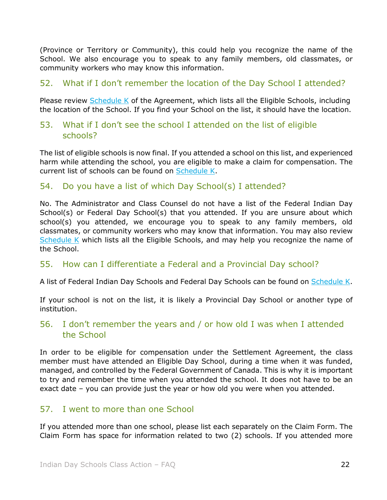(Province or Territory or Community), this could help you recognize the name of the School. We also encourage you to speak to any family members, old classmates, or community workers who may know this information.

## <span id="page-21-0"></span>52. What if I don't remember the location of the Day School I attended?

Please review  $Schedule K$  of the Agreement, which lists all the Eligible Schools, including the location of the School. If you find your School on the list, it should have the location.

#### <span id="page-21-1"></span>53. What if I don't see the school I attended on the list of eligible schools?

The list of eligible schools is now final. If you attended a school on this list, and experienced harm while attending the school, you are eligible to make a claim for compensation. The current list of schools can be found on [Schedule K.](https://www.classaction.deloitte.ca/en-ca/Documents/indiandayschoolsclaims/Schedule%20K%20-%20List%20of%20Federal%20Indian%20Day%20Schools.pdf)

## <span id="page-21-2"></span>54. Do you have a list of which Day School(s) I attended?

No. The Administrator and Class Counsel do not have a list of the Federal Indian Day School(s) or Federal Day School(s) that you attended. If you are unsure about which school(s) you attended, we encourage you to speak to any family members, old classmates, or community workers who may know that information. You may also review [Schedule K](https://www.classaction.deloitte.ca/en-ca/Documents/indiandayschoolsclaims/Schedule%20K%20-%20List%20of%20Federal%20Indian%20Day%20Schools.pdf) which lists all the Eligible Schools, and may help you recognize the name of the School.

#### <span id="page-21-3"></span>55. How can I differentiate a Federal and a Provincial Day school?

A list of Federal Indian Day Schools and Federal Day Schools can be found on [Schedule K.](https://www.classaction.deloitte.ca/en-ca/Documents/indiandayschoolsclaims/Schedule%20K%20-%20List%20of%20Federal%20Indian%20Day%20Schools.pdf)

If your school is not on the list, it is likely a Provincial Day School or another type of institution.

#### <span id="page-21-4"></span>56. I don't remember the years and / or how old I was when I attended the School

In order to be eligible for compensation under the Settlement Agreement, the class member must have attended an Eligible Day School, during a time when it was funded, managed, and controlled by the Federal Government of Canada. This is why it is important to try and remember the time when you attended the school. It does not have to be an exact date – you can provide just the year or how old you were when you attended.

#### <span id="page-21-5"></span>57. I went to more than one School

If you attended more than one school, please list each separately on the Claim Form. The Claim Form has space for information related to two (2) schools. If you attended more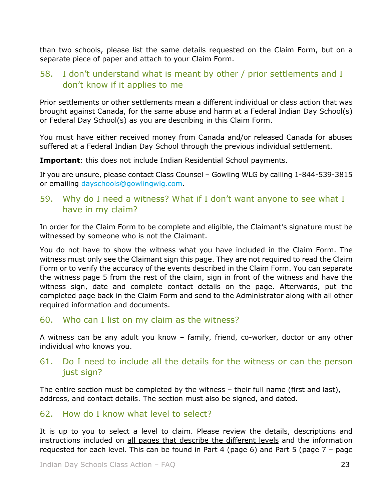than two schools, please list the same details requested on the Claim Form, but on a separate piece of paper and attach to your Claim Form.

#### <span id="page-22-0"></span>58. I don't understand what is meant by other / prior settlements and I don't know if it applies to me

Prior settlements or other settlements mean a different individual or class action that was brought against Canada, for the same abuse and harm at a Federal Indian Day School(s) or Federal Day School(s) as you are describing in this Claim Form.

You must have either received money from Canada and/or released Canada for abuses suffered at a Federal Indian Day School through the previous individual settlement.

**Important**: this does not include Indian Residential School payments.

If you are unsure, please contact Class Counsel – Gowling WLG by calling 1-844-539-3815 or emailing [dayschools@gowlingwlg.com.](mailto:dayschools@gowlingwlg.com)

#### <span id="page-22-1"></span>59. Why do I need a witness? What if I don't want anyone to see what I have in my claim?

In order for the Claim Form to be complete and eligible, the Claimant's signature must be witnessed by someone who is not the Claimant.

You do not have to show the witness what you have included in the Claim Form. The witness must only see the Claimant sign this page. They are not required to read the Claim Form or to verify the accuracy of the events described in the Claim Form. You can separate the witness page 5 from the rest of the claim, sign in front of the witness and have the witness sign, date and complete contact details on the page. Afterwards, put the completed page back in the Claim Form and send to the Administrator along with all other required information and documents.

#### <span id="page-22-2"></span>60. Who can I list on my claim as the witness?

A witness can be any adult you know – family, friend, co-worker, doctor or any other individual who knows you.

#### <span id="page-22-3"></span>61. Do I need to include all the details for the witness or can the person just sign?

The entire section must be completed by the witness – their full name (first and last), address, and contact details. The section must also be signed, and dated.

#### <span id="page-22-4"></span>62. How do I know what level to select?

It is up to you to select a level to claim. Please review the details, descriptions and instructions included on all pages that describe the different levels and the information requested for each level. This can be found in Part 4 (page 6) and Part 5 (page 7 – page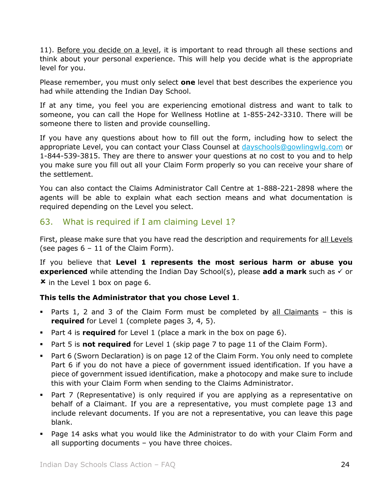11). Before you decide on a level, it is important to read through all these sections and think about your personal experience. This will help you decide what is the appropriate level for you.

Please remember, you must only select **one** level that best describes the experience you had while attending the Indian Day School.

If at any time, you feel you are experiencing emotional distress and want to talk to someone, you can call the Hope for Wellness Hotline at 1-855-242-3310. There will be someone there to listen and provide counselling.

If you have any questions about how to fill out the form, including how to select the appropriate Level, you can contact your Class Counsel at [dayschools@gowlingwlg.com](mailto:dayschools@gowlingwlg.com) or 1-844-539-3815. They are there to answer your questions at no cost to you and to help you make sure you fill out all your Claim Form properly so you can receive your share of the settlement.

You can also contact the Claims Administrator Call Centre at 1-888-221-2898 where the agents will be able to explain what each section means and what documentation is required depending on the Level you select.

# <span id="page-23-0"></span>63. What is required if I am claiming Level 1?

First, please make sure that you have read the description and requirements for all Levels (see pages  $6 - 11$  of the Claim Form).

If you believe that **Level 1 represents the most serious harm or abuse you experienced** while attending the Indian Day School(s), please **add a mark** such as  $\checkmark$  or  $x$  in the Level 1 box on page 6.

#### **This tells the Administrator that you chose Level 1**.

- Parts 1, 2 and 3 of the Claim Form must be completed by all Claimants this is **required** for Level 1 (complete pages 3, 4, 5).
- Part 4 is **required** for Level 1 (place a mark in the box on page 6).
- Part 5 is **not required** for Level 1 (skip page 7 to page 11 of the Claim Form).
- Part 6 (Sworn Declaration) is on page 12 of the Claim Form. You only need to complete Part 6 if you do not have a piece of government issued identification. If you have a piece of government issued identification, make a photocopy and make sure to include this with your Claim Form when sending to the Claims Administrator.
- Part 7 (Representative) is only required if you are applying as a representative on behalf of a Claimant. If you are a representative, you must complete page 13 and include relevant documents. If you are not a representative, you can leave this page blank.
- Page 14 asks what you would like the Administrator to do with your Claim Form and all supporting documents – you have three choices.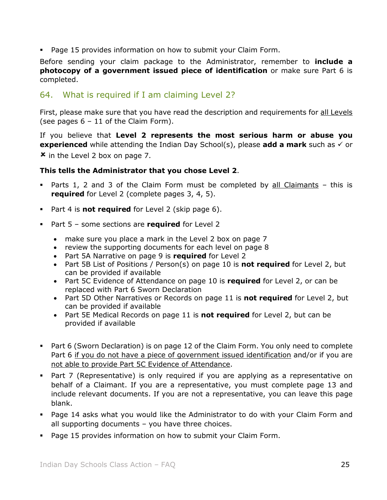Page 15 provides information on how to submit your Claim Form.

Before sending your claim package to the Administrator, remember to **include a photocopy of a government issued piece of identification** or make sure Part 6 is completed.

# <span id="page-24-0"></span>64. What is required if I am claiming Level 2?

First, please make sure that you have read the description and requirements for all Levels (see pages  $6 - 11$  of the Claim Form).

If you believe that **Level 2 represents the most serious harm or abuse you experienced** while attending the Indian Day School(s), please **add a mark** such as  $\checkmark$  or  $x$  in the Level 2 box on page 7.

#### **This tells the Administrator that you chose Level 2**.

- Parts 1, 2 and 3 of the Claim Form must be completed by all Claimants this is **required** for Level 2 (complete pages 3, 4, 5).
- Part 4 is **not required** for Level 2 (skip page 6).
- Part 5 some sections are **required** for Level 2
	- make sure you place a mark in the Level 2 box on page 7
	- review the supporting documents for each level on page 8
	- Part 5A Narrative on page 9 is **required** for Level 2
	- Part 5B List of Positions / Person(s) on page 10 is **not required** for Level 2, but can be provided if available
	- Part 5C Evidence of Attendance on page 10 is **required** for Level 2, or can be replaced with Part 6 Sworn Declaration
	- Part 5D Other Narratives or Records on page 11 is **not required** for Level 2, but can be provided if available
	- Part 5E Medical Records on page 11 is **not required** for Level 2, but can be provided if available
- Part 6 (Sworn Declaration) is on page 12 of the Claim Form. You only need to complete Part 6 if you do not have a piece of government issued identification and/or if you are not able to provide Part 5C Evidence of Attendance.
- Part 7 (Representative) is only required if you are applying as a representative on behalf of a Claimant. If you are a representative, you must complete page 13 and include relevant documents. If you are not a representative, you can leave this page blank.
- Page 14 asks what you would like the Administrator to do with your Claim Form and all supporting documents – you have three choices.
- Page 15 provides information on how to submit your Claim Form.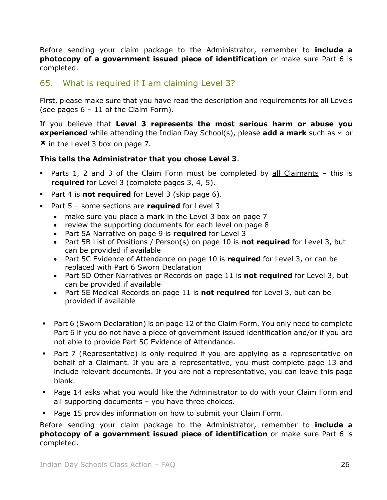Before sending your claim package to the Administrator, remember to **include a photocopy of a government issued piece of identification** or make sure Part 6 is completed.

## <span id="page-25-0"></span>65. What is required if I am claiming Level 3?

First, please make sure that you have read the description and requirements for all Levels (see pages  $6 - 11$  of the Claim Form).

If you believe that **Level 3 represents the most serious harm or abuse you experienced** while attending the Indian Day School(s), please **add a mark** such as  $\checkmark$  or

 $\boldsymbol{\mathsf{x}}$  in the Level 3 box on page 7.

#### **This tells the Administrator that you chose Level 3**.

- Parts 1, 2 and 3 of the Claim Form must be completed by all Claimants this is **required** for Level 3 (complete pages 3, 4, 5).
- Part 4 is **not required** for Level 3 (skip page 6).
- Part 5 some sections are **required** for Level 3
	- make sure you place a mark in the Level 3 box on page 7
	- review the supporting documents for each level on page 8
	- Part 5A Narrative on page 9 is **required** for Level 3
	- Part 5B List of Positions / Person(s) on page 10 is **not required** for Level 3, but can be provided if available
	- Part 5C Evidence of Attendance on page 10 is **required** for Level 3, or can be replaced with Part 6 Sworn Declaration
	- Part 5D Other Narratives or Records on page 11 is **not required** for Level 3, but can be provided if available
	- Part 5E Medical Records on page 11 is **not required** for Level 3, but can be provided if available
- Part 6 (Sworn Declaration) is on page 12 of the Claim Form. You only need to complete Part 6 if you do not have a piece of government issued identification and/or if you are not able to provide Part 5C Evidence of Attendance.
- Part 7 (Representative) is only required if you are applying as a representative on behalf of a Claimant. If you are a representative, you must complete page 13 and include relevant documents. If you are not a representative, you can leave this page blank.
- Page 14 asks what you would like the Administrator to do with your Claim Form and all supporting documents – you have three choices.
- Page 15 provides information on how to submit your Claim Form.

Before sending your claim package to the Administrator, remember to **include a photocopy of a government issued piece of identification** or make sure Part 6 is completed.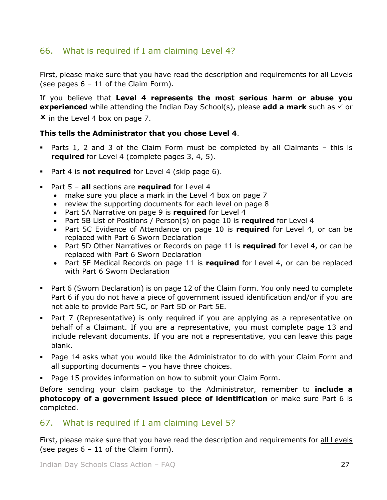# <span id="page-26-0"></span>66. What is required if I am claiming Level 4?

First, please make sure that you have read the description and requirements for all Levels (see pages  $6 - 11$  of the Claim Form).

If you believe that **Level 4 represents the most serious harm or abuse you experienced** while attending the Indian Day School(s), please **add a mark** such as  $\checkmark$  or **\*** in the Level 4 box on page 7.

#### **This tells the Administrator that you chose Level 4**.

- Parts 1, 2 and 3 of the Claim Form must be completed by all Claimants this is **required** for Level 4 (complete pages 3, 4, 5).
- Part 4 is **not required** for Level 4 (skip page 6).
- Part 5 **all** sections are **required** for Level 4
	- make sure you place a mark in the Level 4 box on page 7
	- review the supporting documents for each level on page 8
	- Part 5A Narrative on page 9 is **required** for Level 4
	- Part 5B List of Positions / Person(s) on page 10 is **required** for Level 4
	- Part 5C Evidence of Attendance on page 10 is **required** for Level 4, or can be replaced with Part 6 Sworn Declaration
	- Part 5D Other Narratives or Records on page 11 is **required** for Level 4, or can be replaced with Part 6 Sworn Declaration
	- Part 5E Medical Records on page 11 is **required** for Level 4, or can be replaced with Part 6 Sworn Declaration
- Part 6 (Sworn Declaration) is on page 12 of the Claim Form. You only need to complete Part 6 if you do not have a piece of government issued identification and/or if you are not able to provide Part 5C, or Part 5D or Part 5E.
- Part 7 (Representative) is only required if you are applying as a representative on behalf of a Claimant. If you are a representative, you must complete page 13 and include relevant documents. If you are not a representative, you can leave this page blank.
- Page 14 asks what you would like the Administrator to do with your Claim Form and all supporting documents – you have three choices.
- Page 15 provides information on how to submit your Claim Form.

Before sending your claim package to the Administrator, remember to **include a photocopy of a government issued piece of identification** or make sure Part 6 is completed.

#### <span id="page-26-1"></span>67. What is required if I am claiming Level 5?

First, please make sure that you have read the description and requirements for all Levels (see pages  $6 - 11$  of the Claim Form).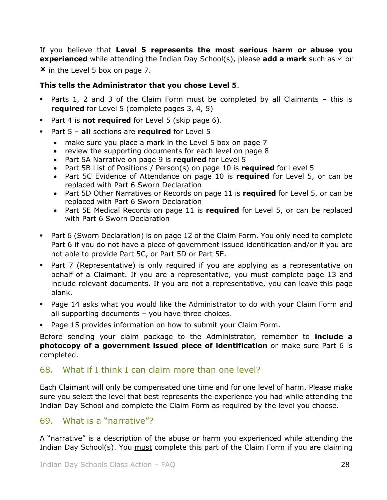If you believe that **Level 5 represents the most serious harm or abuse you experienced** while attending the Indian Day School(s), please **add a mark** such as  $\checkmark$  or  $\boldsymbol{\times}$  in the Level 5 box on page 7.

#### **This tells the Administrator that you chose Level 5**.

- Parts 1, 2 and 3 of the Claim Form must be completed by all Claimants this is **required** for Level 5 (complete pages 3, 4, 5)
- Part 4 is **not required** for Level 5 (skip page 6).
- Part 5 **all** sections are **required** for Level 5
	- make sure you place a mark in the Level 5 box on page 7
	- review the supporting documents for each level on page 8
	- Part 5A Narrative on page 9 is **required** for Level 5
	- Part 5B List of Positions / Person(s) on page 10 is **required** for Level 5
	- Part 5C Evidence of Attendance on page 10 is **required** for Level 5, or can be replaced with Part 6 Sworn Declaration
	- Part 5D Other Narratives or Records on page 11 is **required** for Level 5, or can be replaced with Part 6 Sworn Declaration
	- Part 5E Medical Records on page 11 is **required** for Level 5, or can be replaced with Part 6 Sworn Declaration
- Part 6 (Sworn Declaration) is on page 12 of the Claim Form. You only need to complete Part 6 if you do not have a piece of government issued identification and/or if you are not able to provide Part 5C, or Part 5D or Part 5E.
- Part 7 (Representative) is only required if you are applying as a representative on behalf of a Claimant. If you are a representative, you must complete page 13 and include relevant documents. If you are not a representative, you can leave this page blank.
- Page 14 asks what you would like the Administrator to do with your Claim Form and all supporting documents – you have three choices.
- Page 15 provides information on how to submit your Claim Form.

Before sending your claim package to the Administrator, remember to **include a photocopy of a government issued piece of identification** or make sure Part 6 is completed.

#### <span id="page-27-0"></span>68. What if I think I can claim more than one level?

Each Claimant will only be compensated one time and for one level of harm. Please make sure you select the level that best represents the experience you had while attending the Indian Day School and complete the Claim Form as required by the level you choose.

#### <span id="page-27-1"></span>69. What is a "narrative"?

A "narrative" is a description of the abuse or harm you experienced while attending the Indian Day School(s). You must complete this part of the Claim Form if you are claiming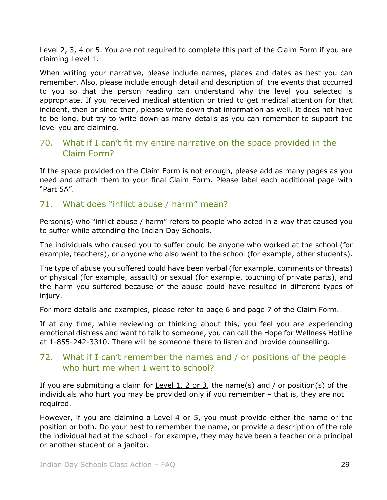Level 2, 3, 4 or 5. You are not required to complete this part of the Claim Form if you are claiming Level 1.

When writing your narrative, please include names, places and dates as best you can remember. Also, please include enough detail and description of the events that occurred to you so that the person reading can understand why the level you selected is appropriate. If you received medical attention or tried to get medical attention for that incident, then or since then, please write down that information as well. It does not have to be long, but try to write down as many details as you can remember to support the level you are claiming.

# <span id="page-28-0"></span>70. What if I can't fit my entire narrative on the space provided in the Claim Form?

If the space provided on the Claim Form is not enough, please add as many pages as you need and attach them to your final Claim Form. Please label each additional page with "Part 5A".

# <span id="page-28-1"></span>71. What does "inflict abuse / harm" mean?

Person(s) who "inflict abuse / harm" refers to people who acted in a way that caused you to suffer while attending the Indian Day Schools.

The individuals who caused you to suffer could be anyone who worked at the school (for example, teachers), or anyone who also went to the school (for example, other students).

The type of abuse you suffered could have been verbal (for example, comments or threats) or physical (for example, assault) or sexual (for example, touching of private parts), and the harm you suffered because of the abuse could have resulted in different types of injury.

For more details and examples, please refer to page 6 and page 7 of the Claim Form.

If at any time, while reviewing or thinking about this, you feel you are experiencing emotional distress and want to talk to someone, you can call the Hope for Wellness Hotline at 1-855-242-3310. There will be someone there to listen and provide counselling.

## <span id="page-28-2"></span>72. What if I can't remember the names and / or positions of the people who hurt me when I went to school?

If you are submitting a claim for Level 1, 2 or 3, the name(s) and / or position(s) of the individuals who hurt you may be provided only if you remember – that is, they are not required.

However, if you are claiming a Level 4 or 5, you must provide either the name or the position or both. Do your best to remember the name, or provide a description of the role the individual had at the school - for example, they may have been a teacher or a principal or another student or a janitor.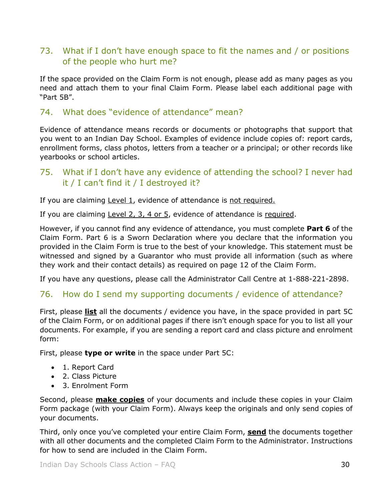# <span id="page-29-0"></span>73. What if I don't have enough space to fit the names and / or positions of the people who hurt me?

If the space provided on the Claim Form is not enough, please add as many pages as you need and attach them to your final Claim Form. Please label each additional page with "Part 5B".

#### <span id="page-29-1"></span>74. What does "evidence of attendance" mean?

Evidence of attendance means records or documents or photographs that support that you went to an Indian Day School. Examples of evidence include copies of: report cards, enrollment forms, class photos, letters from a teacher or a principal; or other records like yearbooks or school articles.

# <span id="page-29-2"></span>75. What if I don't have any evidence of attending the school? I never had it / I can't find it / I destroyed it?

If you are claiming Level 1, evidence of attendance is not required.

If you are claiming Level 2, 3, 4 or 5, evidence of attendance is required.

However, if you cannot find any evidence of attendance, you must complete **Part 6** of the Claim Form. Part 6 is a Sworn Declaration where you declare that the information you provided in the Claim Form is true to the best of your knowledge. This statement must be witnessed and signed by a Guarantor who must provide all information (such as where they work and their contact details) as required on page 12 of the Claim Form.

If you have any questions, please call the Administrator Call Centre at 1-888-221-2898.

#### <span id="page-29-3"></span>76. How do I send my supporting documents / evidence of attendance?

First, please **list** all the documents / evidence you have, in the space provided in part 5C of the Claim Form, or on additional pages if there isn't enough space for you to list all your documents. For example, if you are sending a report card and class picture and enrolment form:

First, please **type or write** in the space under Part 5C:

- 1. Report Card
- 2. Class Picture
- 3. Enrolment Form

Second, please **make copies** of your documents and include these copies in your Claim Form package (with your Claim Form). Always keep the originals and only send copies of your documents.

Third, only once you've completed your entire Claim Form, **send** the documents together with all other documents and the completed Claim Form to the Administrator. Instructions for how to send are included in the Claim Form.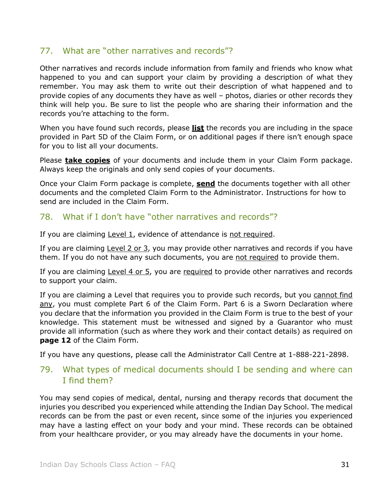## <span id="page-30-0"></span>77. What are "other narratives and records"?

Other narratives and records include information from family and friends who know what happened to you and can support your claim by providing a description of what they remember. You may ask them to write out their description of what happened and to provide copies of any documents they have as well – photos, diaries or other records they think will help you. Be sure to list the people who are sharing their information and the records you're attaching to the form.

When you have found such records, please **list** the records you are including in the space provided in Part 5D of the Claim Form, or on additional pages if there isn't enough space for you to list all your documents.

Please **take copies** of your documents and include them in your Claim Form package. Always keep the originals and only send copies of your documents.

Once your Claim Form package is complete, **send** the documents together with all other documents and the completed Claim Form to the Administrator. Instructions for how to send are included in the Claim Form.

## <span id="page-30-1"></span>78. What if I don't have "other narratives and records"?

If you are claiming Level 1, evidence of attendance is not required.

If you are claiming Level 2 or 3, you may provide other narratives and records if you have them. If you do not have any such documents, you are not required to provide them.

If you are claiming Level 4 or 5, you are required to provide other narratives and records to support your claim.

If you are claiming a Level that requires you to provide such records, but you cannot find any, you must complete Part 6 of the Claim Form. Part 6 is a Sworn Declaration where you declare that the information you provided in the Claim Form is true to the best of your knowledge. This statement must be witnessed and signed by a Guarantor who must provide all information (such as where they work and their contact details) as required on **page 12** of the Claim Form.

If you have any questions, please call the Administrator Call Centre at 1-888-221-2898.

## <span id="page-30-2"></span>79. What types of medical documents should I be sending and where can I find them?

You may send copies of medical, dental, nursing and therapy records that document the injuries you described you experienced while attending the Indian Day School. The medical records can be from the past or even recent, since some of the injuries you experienced may have a lasting effect on your body and your mind. These records can be obtained from your healthcare provider, or you may already have the documents in your home.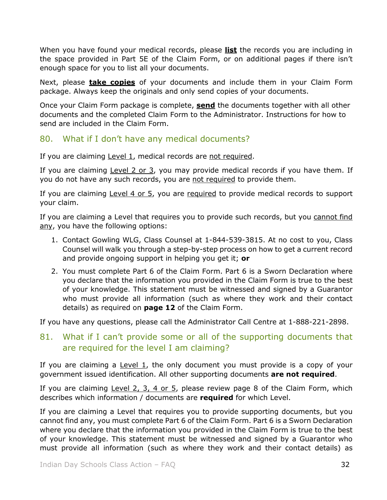When you have found your medical records, please **list** the records you are including in the space provided in Part 5E of the Claim Form, or on additional pages if there isn't enough space for you to list all your documents.

Next, please **take copies** of your documents and include them in your Claim Form package. Always keep the originals and only send copies of your documents.

Once your Claim Form package is complete, **send** the documents together with all other documents and the completed Claim Form to the Administrator. Instructions for how to send are included in the Claim Form.

## <span id="page-31-0"></span>80. What if I don't have any medical documents?

If you are claiming Level 1, medical records are not required.

If you are claiming Level 2 or  $3$ , you may provide medical records if you have them. If you do not have any such records, you are not required to provide them.

If you are claiming Level 4 or 5, you are required to provide medical records to support your claim.

If you are claiming a Level that requires you to provide such records, but you cannot find any, you have the following options:

- 1. Contact Gowling WLG, Class Counsel at 1-844-539-3815. At no cost to you, Class Counsel will walk you through a step-by-step process on how to get a current record and provide ongoing support in helping you get it; **or**
- 2. You must complete Part 6 of the Claim Form. Part 6 is a Sworn Declaration where you declare that the information you provided in the Claim Form is true to the best of your knowledge. This statement must be witnessed and signed by a Guarantor who must provide all information (such as where they work and their contact details) as required on **page 12** of the Claim Form.

If you have any questions, please call the Administrator Call Centre at 1-888-221-2898.

## <span id="page-31-1"></span>81. What if I can't provide some or all of the supporting documents that are required for the level I am claiming?

If you are claiming a Level  $1$ , the only document you must provide is a copy of your government issued identification. All other supporting documents **are not required**.

If you are claiming Level 2, 3, 4 or 5, please review page 8 of the Claim Form, which describes which information / documents are **required** for which Level.

If you are claiming a Level that requires you to provide supporting documents, but you cannot find any, you must complete Part 6 of the Claim Form. Part 6 is a Sworn Declaration where you declare that the information you provided in the Claim Form is true to the best of your knowledge. This statement must be witnessed and signed by a Guarantor who must provide all information (such as where they work and their contact details) as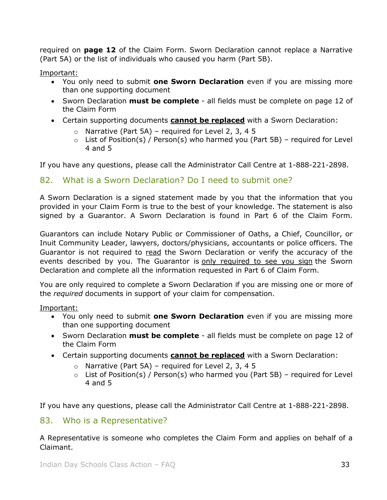required on **page 12** of the Claim Form. Sworn Declaration cannot replace a Narrative (Part 5A) or the list of individuals who caused you harm (Part 5B).

#### Important:

- You only need to submit **one Sworn Declaration** even if you are missing more than one supporting document
- Sworn Declaration **must be complete** all fields must be complete on page 12 of the Claim Form
- Certain supporting documents **cannot be replaced** with a Sworn Declaration:
	- $\circ$  Narrative (Part 5A) required for Level 2, 3, 4 5
	- $\circ$  List of Position(s) / Person(s) who harmed you (Part 5B) required for Level 4 and 5

If you have any questions, please call the Administrator Call Centre at 1-888-221-2898.

#### <span id="page-32-0"></span>82. What is a Sworn Declaration? Do I need to submit one?

A Sworn Declaration is a signed statement made by you that the information that you provided in your Claim Form is true to the best of your knowledge. The statement is also signed by a Guarantor. A Sworn Declaration is found in Part 6 of the Claim Form.

Guarantors can include Notary Public or Commissioner of Oaths, a Chief, Councillor, or Inuit Community Leader, lawyers, doctors/physicians, accountants or police officers. The Guarantor is not required to read the Sworn Declaration or verify the accuracy of the events described by you. The Guarantor is only required to see you sign the Sworn Declaration and complete all the information requested in Part 6 of Claim Form.

You are only required to complete a Sworn Declaration if you are missing one or more of the *required* documents in support of your claim for compensation.

Important:

- You only need to submit **one Sworn Declaration** even if you are missing more than one supporting document
- Sworn Declaration **must be complete** all fields must be complete on page 12 of the Claim Form
- Certain supporting documents **cannot be replaced** with a Sworn Declaration:
	- $\circ$  Narrative (Part 5A) required for Level 2, 3, 4 5
	- $\circ$  List of Position(s) / Person(s) who harmed you (Part 5B) required for Level 4 and 5

If you have any questions, please call the Administrator Call Centre at 1-888-221-2898.

#### <span id="page-32-1"></span>83. Who is a Representative?

A Representative is someone who completes the Claim Form and applies on behalf of a Claimant.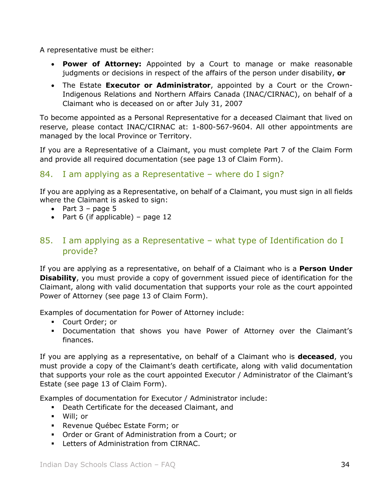A representative must be either:

- **Power of Attorney:** Appointed by a Court to manage or make reasonable judgments or decisions in respect of the affairs of the person under disability, **or**
- The Estate **Executor or Administrator**, appointed by a Court or the Crown-Indigenous Relations and Northern Affairs Canada (INAC/CIRNAC), on behalf of a Claimant who is deceased on or after July 31, 2007

To become appointed as a Personal Representative for a deceased Claimant that lived on reserve, please contact INAC/CIRNAC at: 1-800-567-9604. All other appointments are managed by the local Province or Territory.

If you are a Representative of a Claimant, you must complete Part 7 of the Claim Form and provide all required documentation (see page 13 of Claim Form).

# <span id="page-33-0"></span>84. I am applying as a Representative – where do I sign?

If you are applying as a Representative, on behalf of a Claimant, you must sign in all fields where the Claimant is asked to sign:

- Part  $3 -$  page 5
- Part 6 (if applicable) page 12

## <span id="page-33-1"></span>85. I am applying as a Representative – what type of Identification do I provide?

If you are applying as a representative, on behalf of a Claimant who is a **Person Under Disability**, you must provide a copy of government issued piece of identification for the Claimant, along with valid documentation that supports your role as the court appointed Power of Attorney (see page 13 of Claim Form).

Examples of documentation for Power of Attorney include:

- Court Order; or
- Documentation that shows you have Power of Attorney over the Claimant's finances.

If you are applying as a representative, on behalf of a Claimant who is **deceased**, you must provide a copy of the Claimant's death certificate, along with valid documentation that supports your role as the court appointed Executor / Administrator of the Claimant's Estate (see page 13 of Claim Form).

Examples of documentation for Executor / Administrator include:

- Death Certificate for the deceased Claimant, and
- Will; or
- **Revenue Québec Estate Form; or**
- Order or Grant of Administration from a Court; or
- **Letters of Administration from CIRNAC.**